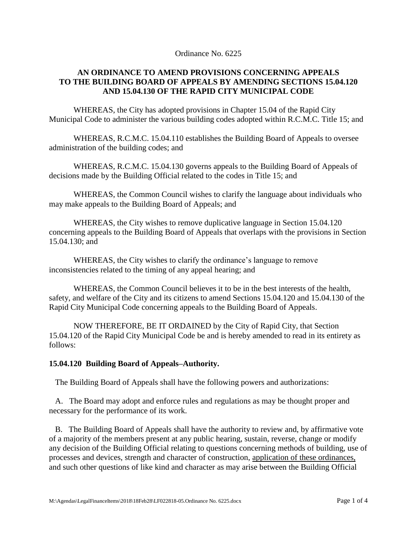Ordinance No. 6225

## **AN ORDINANCE TO AMEND PROVISIONS CONCERNING APPEALS TO THE BUILDING BOARD OF APPEALS BY AMENDING SECTIONS 15.04.120 AND 15.04.130 OF THE RAPID CITY MUNICIPAL CODE**

WHEREAS, the City has adopted provisions in Chapter 15.04 of the Rapid City Municipal Code to administer the various building codes adopted within R.C.M.C. Title 15; and

WHEREAS, R.C.M.C. 15.04.110 establishes the Building Board of Appeals to oversee administration of the building codes; and

WHEREAS, R.C.M.C. 15.04.130 governs appeals to the Building Board of Appeals of decisions made by the Building Official related to the codes in Title 15; and

WHEREAS, the Common Council wishes to clarify the language about individuals who may make appeals to the Building Board of Appeals; and

WHEREAS, the City wishes to remove duplicative language in Section 15.04.120 concerning appeals to the Building Board of Appeals that overlaps with the provisions in Section 15.04.130; and

WHEREAS, the City wishes to clarify the ordinance's language to remove inconsistencies related to the timing of any appeal hearing; and

WHEREAS, the Common Council believes it to be in the best interests of the health, safety, and welfare of the City and its citizens to amend Sections 15.04.120 and 15.04.130 of the Rapid City Municipal Code concerning appeals to the Building Board of Appeals.

NOW THEREFORE, BE IT ORDAINED by the City of Rapid City, that Section 15.04.120 of the Rapid City Municipal Code be and is hereby amended to read in its entirety as follows:

## **15.04.120 Building Board of Appeals–Authority.**

The Building Board of Appeals shall have the following powers and authorizations:

 A. The Board may adopt and enforce rules and regulations as may be thought proper and necessary for the performance of its work.

 B. The Building Board of Appeals shall have the authority to review and, by affirmative vote of a majority of the members present at any public hearing, sustain, reverse, change or modify any decision of the Building Official relating to questions concerning methods of building, use of processes and devices, strength and character of construction, application of these ordinances, and such other questions of like kind and character as may arise between the Building Official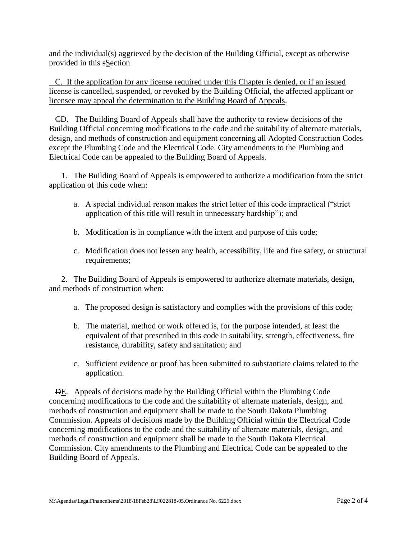and the individual(s) aggrieved by the decision of the Building Official, except as otherwise provided in this sSection.

 C. If the application for any license required under this Chapter is denied, or if an issued license is cancelled, suspended, or revoked by the Building Official, the affected applicant or licensee may appeal the determination to the Building Board of Appeals.

 CD. The Building Board of Appeals shall have the authority to review decisions of the Building Official concerning modifications to the code and the suitability of alternate materials, design, and methods of construction and equipment concerning all Adopted Construction Codes except the Plumbing Code and the Electrical Code. City amendments to the Plumbing and Electrical Code can be appealed to the Building Board of Appeals.

 1. The Building Board of Appeals is empowered to authorize a modification from the strict application of this code when:

- a. A special individual reason makes the strict letter of this code impractical ("strict application of this title will result in unnecessary hardship"); and
- b. Modification is in compliance with the intent and purpose of this code;
- c. Modification does not lessen any health, accessibility, life and fire safety, or structural requirements;

 2. The Building Board of Appeals is empowered to authorize alternate materials, design, and methods of construction when:

- a. The proposed design is satisfactory and complies with the provisions of this code;
- b. The material, method or work offered is, for the purpose intended, at least the equivalent of that prescribed in this code in suitability, strength, effectiveness, fire resistance, durability, safety and sanitation; and
- c. Sufficient evidence or proof has been submitted to substantiate claims related to the application.

 DE. Appeals of decisions made by the Building Official within the Plumbing Code concerning modifications to the code and the suitability of alternate materials, design, and methods of construction and equipment shall be made to the South Dakota Plumbing Commission. Appeals of decisions made by the Building Official within the Electrical Code concerning modifications to the code and the suitability of alternate materials, design, and methods of construction and equipment shall be made to the South Dakota Electrical Commission. City amendments to the Plumbing and Electrical Code can be appealed to the Building Board of Appeals.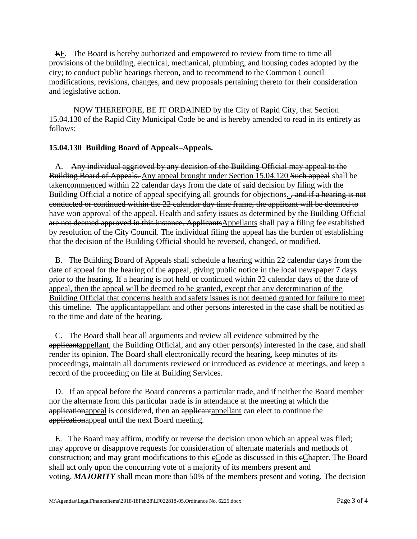EF. The Board is hereby authorized and empowered to review from time to time all provisions of the building, electrical, mechanical, plumbing, and housing codes adopted by the city; to conduct public hearings thereon, and to recommend to the Common Council modifications, revisions, changes, and new proposals pertaining thereto for their consideration and legislative action.

NOW THEREFORE, BE IT ORDAINED by the City of Rapid City, that Section 15.04.130 of the Rapid City Municipal Code be and is hereby amended to read in its entirety as follows:

## **15.04.130 Building Board of Appeals–Appeals.**

 A. Any individual aggrieved by any decision of the Building Official may appeal to the Building Board of Appeals. Any appeal brought under Section 15.04.120 Such appeal shall be takencommenced within 22 calendar days from the date of said decision by filing with the Building Official a notice of appeal specifying all grounds for objections. <del>, and if a hearing is not</del> conducted or continued within the 22 calendar day time frame, the applicant will be deemed to have won approval of the appeal. Health and safety issues as determined by the Building Official are not deemed approved in this instance. ApplicantsAppellants shall pay a filing fee established by resolution of the City Council. The individual filing the appeal has the burden of establishing that the decision of the Building Official should be reversed, changed, or modified.

 B. The Building Board of Appeals shall schedule a hearing within 22 calendar days from the date of appeal for the hearing of the appeal, giving public notice in the local newspaper 7 days prior to the hearing. If a hearing is not held or continued within 22 calendar days of the date of appeal, then the appeal will be deemed to be granted, except that any determination of the Building Official that concerns health and safety issues is not deemed granted for failure to meet this timeline. The applicantappellant and other persons interested in the case shall be notified as to the time and date of the hearing.

 C. The Board shall hear all arguments and review all evidence submitted by the applicantappellant, the Building Official, and any other person(s) interested in the case, and shall render its opinion. The Board shall electronically record the hearing, keep minutes of its proceedings, maintain all documents reviewed or introduced as evidence at meetings, and keep a record of the proceeding on file at Building Services.

 D. If an appeal before the Board concerns a particular trade, and if neither the Board member nor the alternate from this particular trade is in attendance at the meeting at which the applicationappeal is considered, then an applicantappellant can elect to continue the applicationappeal until the next Board meeting.

 E. The Board may affirm, modify or reverse the decision upon which an appeal was filed; may approve or disapprove requests for consideration of alternate materials and methods of construction; and may grant modifications to this eCode as discussed in this eChapter. The Board shall act only upon the concurring vote of a majority of its members present and voting. *MAJORITY* shall mean more than 50% of the members present and voting. The decision